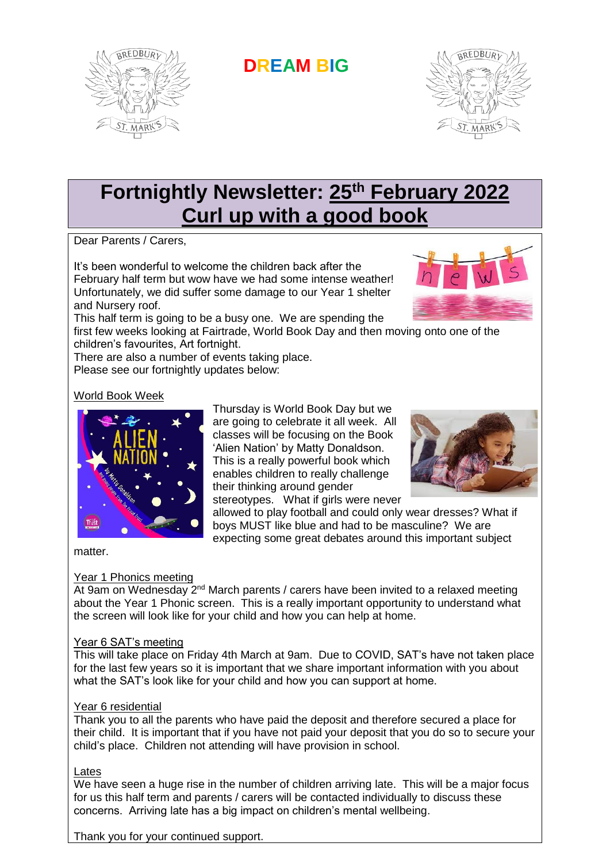

**DREAM BIG**



# **Fortnightly Newsletter: 25th February 2022 Curl up with a good book**

Dear Parents / Carers,

It's been wonderful to welcome the children back after the February half term but wow have we had some intense weather! Unfortunately, we did suffer some damage to our Year 1 shelter and Nursery roof.



This half term is going to be a busy one. We are spending the first few weeks looking at Fairtrade, World Book Day and then moving onto one of the

children's favourites, Art fortnight.

There are also a number of events taking place. Please see our fortnightly updates below:

### World Book Week



Thursday is World Book Day but we are going to celebrate it all week. All classes will be focusing on the Book 'Alien Nation' by Matty Donaldson. This is a really powerful book which enables children to really challenge their thinking around gender stereotypes. What if girls were never



allowed to play football and could only wear dresses? What if boys MUST like blue and had to be masculine? We are expecting some great debates around this important subject

matter.

# Year 1 Phonics meeting

At 9am on Wednesday 2<sup>nd</sup> March parents / carers have been invited to a relaxed meeting about the Year 1 Phonic screen. This is a really important opportunity to understand what the screen will look like for your child and how you can help at home.

#### Year 6 SAT's meeting

This will take place on Friday 4th March at 9am. Due to COVID, SAT's have not taken place for the last few years so it is important that we share important information with you about what the SAT's look like for your child and how you can support at home.

#### Year 6 residential

Thank you to all the parents who have paid the deposit and therefore secured a place for their child. It is important that if you have not paid your deposit that you do so to secure your child's place. Children not attending will have provision in school.

#### Lates

We have seen a huge rise in the number of children arriving late. This will be a major focus for us this half term and parents / carers will be contacted individually to discuss these concerns. Arriving late has a big impact on children's mental wellbeing.

Thank you for your continued support.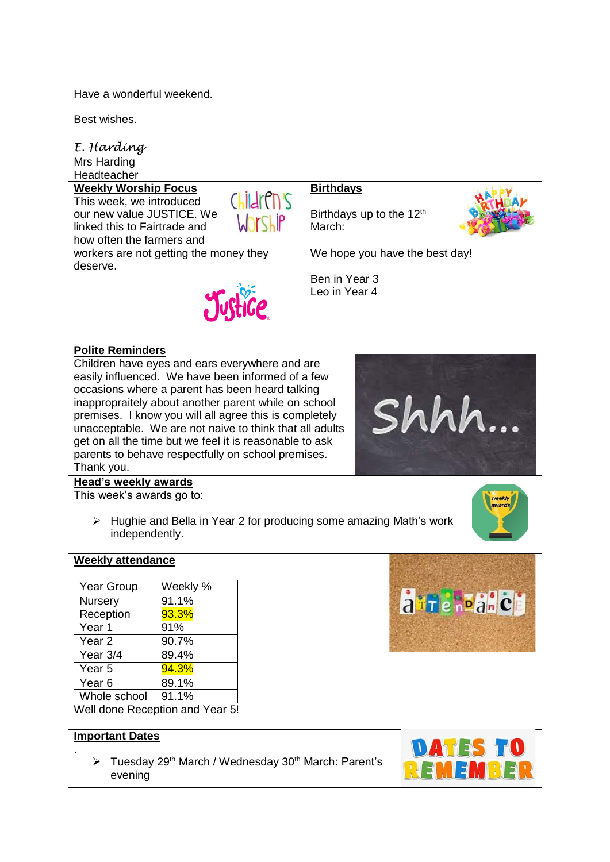Have a wonderful weekend.

Best wishes.

*E. Harding* Mrs Harding **Headteacher** 

#### **Weekly Worship Focus**

This week, we introduced our new value JUSTICE. We linked this to Fairtrade and how often the farmers and workers are not getting the money they deserve.



Justice

## **Birthdays**

Birthdays up to the 12<sup>th</sup> March:



We hope you have the best day!

Shhh.

Ben in Year 3 Leo in Year 4

#### **Polite Reminders**

Children have eyes and ears everywhere and are easily influenced. We have been informed of a few occasions where a parent has been heard talking inappropraitely about another parent while on school premises. I know you will all agree this is completely unacceptable. We are not naive to think that all adults get on all the time but we feel it is reasonable to ask parents to behave respectfully on school premises. Thank you.

# **Head's weekly awards**

This week's awards go to:

 $\triangleright$  Hughie and Bella in Year 2 for producing some amazing Math's work independently.



#### **Weekly attendance**

| Year Group                      | Weekly % |
|---------------------------------|----------|
| Nursery                         | 91.1%    |
| Reception                       | 93.3%    |
| Year 1                          | 91%      |
| Year <sub>2</sub>               | 90.7%    |
| Year 3/4                        | 89.4%    |
| Year <sub>5</sub>               | 94.3%    |
| Year <sub>6</sub>               | 89.1%    |
| Whole school                    | 91.1%    |
| Well done Reception and Year 5! |          |

#### **Important Dates**

.

 $\triangleright$  Tuesday 29<sup>th</sup> March / Wednesday 30<sup>th</sup> March: Parent's evening



atrehoanch